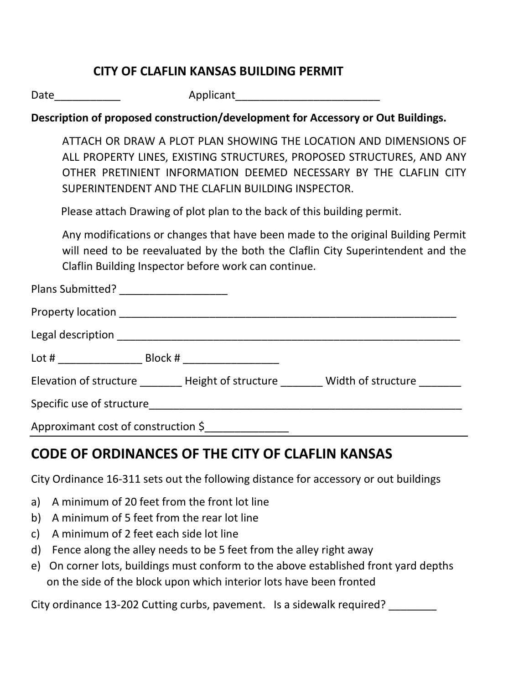### **CITY OF CLAFLIN KANSAS BUILDING PERMIT**

Date\_\_\_\_\_\_\_\_\_\_\_ Applicant\_\_\_\_\_\_\_\_\_\_\_\_\_\_\_\_\_\_\_\_\_\_\_\_

#### **Description of proposed construction/development for Accessory or Out Buildings.**

ATTACH OR DRAW A PLOT PLAN SHOWING THE LOCATION AND DIMENSIONS OF ALL PROPERTY LINES, EXISTING STRUCTURES, PROPOSED STRUCTURES, AND ANY OTHER PRETINIENT INFORMATION DEEMED NECESSARY BY THE CLAFLIN CITY SUPERINTENDENT AND THE CLAFLIN BUILDING INSPECTOR.

Please attach Drawing of plot plan to the back of this building permit.

Any modifications or changes that have been made to the original Building Permit will need to be reevaluated by the both the Claflin City Superintendent and the Claflin Building Inspector before work can continue.

| Plans Submitted? _____________________ |                                                               |
|----------------------------------------|---------------------------------------------------------------|
|                                        |                                                               |
|                                        |                                                               |
|                                        |                                                               |
|                                        | Elevation of structure Height of structure Width of structure |
|                                        |                                                               |
| Approximant cost of construction \$    |                                                               |

## **CODE OF ORDINANCES OF THE CITY OF CLAFLIN KANSAS**

City Ordinance 16-311 sets out the following distance for accessory or out buildings

- a) A minimum of 20 feet from the front lot line
- b) A minimum of 5 feet from the rear lot line
- c) A minimum of 2 feet each side lot line
- d) Fence along the alley needs to be 5 feet from the alley right away
- e) On corner lots, buildings must conform to the above established front yard depths on the side of the block upon which interior lots have been fronted

City ordinance 13-202 Cutting curbs, pavement. Is a sidewalk required?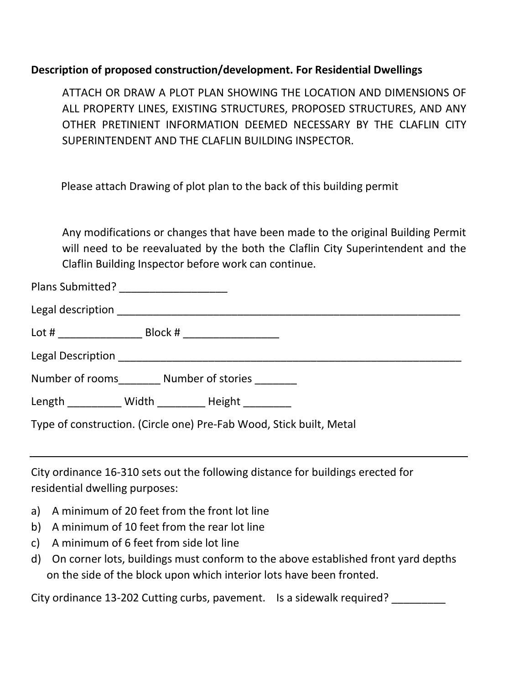#### **Description of proposed construction/development. For Residential Dwellings**

ATTACH OR DRAW A PLOT PLAN SHOWING THE LOCATION AND DIMENSIONS OF ALL PROPERTY LINES, EXISTING STRUCTURES, PROPOSED STRUCTURES, AND ANY OTHER PRETINIENT INFORMATION DEEMED NECESSARY BY THE CLAFLIN CITY SUPERINTENDENT AND THE CLAFLIN BUILDING INSPECTOR.

Please attach Drawing of plot plan to the back of this building permit

Any modifications or changes that have been made to the original Building Permit will need to be reevaluated by the both the Claflin City Superintendent and the Claflin Building Inspector before work can continue.

| Plans Submitted? |  |
|------------------|--|
|                  |  |

| Block # _________________<br>Lot # _________________                |  |  |
|---------------------------------------------------------------------|--|--|
|                                                                     |  |  |
| Number of rooms Number of stories                                   |  |  |
| Length Width Height                                                 |  |  |
| Type of construction. (Circle one) Pre-Fab Wood, Stick built, Metal |  |  |

City ordinance 16-310 sets out the following distance for buildings erected for residential dwelling purposes:

- a) A minimum of 20 feet from the front lot line
- b) A minimum of 10 feet from the rear lot line
- c) A minimum of 6 feet from side lot line
- d) On corner lots, buildings must conform to the above established front yard depths on the side of the block upon which interior lots have been fronted.

City ordinance 13-202 Cutting curbs, pavement. Is a sidewalk required?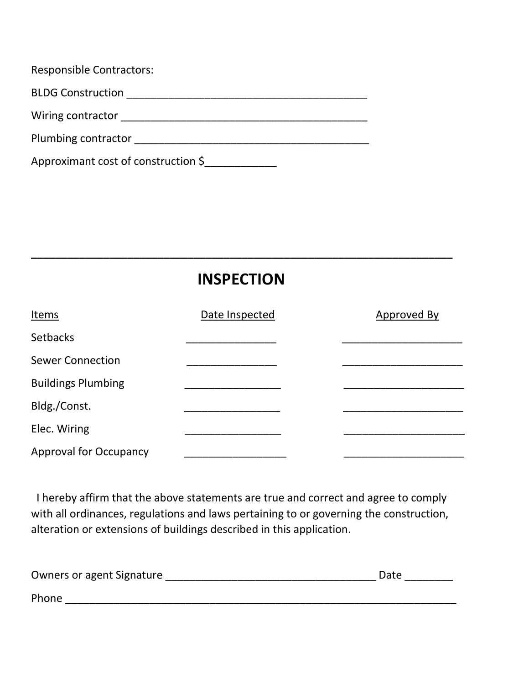| <b>Responsible Contractors:</b>                |
|------------------------------------------------|
| <b>BLDG Construction</b>                       |
| Wiring contractor                              |
| Plumbing contractor                            |
| Approximant cost of construction $\frac{1}{2}$ |

# **INSPECTION**

**\_\_\_\_\_\_\_\_\_\_\_\_\_\_\_\_\_\_\_\_\_\_\_\_\_\_\_\_\_\_\_\_\_\_\_\_\_\_\_\_\_\_\_\_\_\_\_\_\_\_\_\_\_\_\_\_\_\_\_\_\_\_\_\_\_\_\_\_\_\_**

| <b>Items</b>                  | Date Inspected | Approved By |
|-------------------------------|----------------|-------------|
| <b>Setbacks</b>               |                |             |
| <b>Sewer Connection</b>       |                |             |
| <b>Buildings Plumbing</b>     |                |             |
| Bldg./Const.                  |                |             |
| Elec. Wiring                  |                |             |
| <b>Approval for Occupancy</b> |                |             |

 I hereby affirm that the above statements are true and correct and agree to comply with all ordinances, regulations and laws pertaining to or governing the construction, alteration or extensions of buildings described in this application.

| Owners or agent Signature | Date |
|---------------------------|------|
| Phone                     |      |